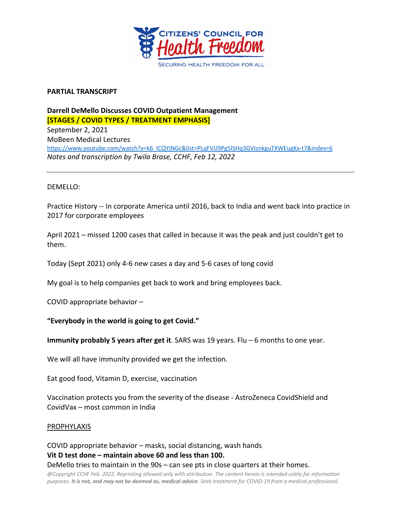

#### **PARTIAL TRANSCRIPT**

# **Darrell DeMello Discusses COVID Outpatient Management [STAGES / COVID TYPES / TREATMENT EMPHASIS]**

September 2, 2021 MoBeen Medical Lectures https://www.youtube.com/watch?v=k6\_ICQYjNGc&list=PLqFVU9Pg5lSHq3GVIsnkguTXWEugKx-t7&index=6 *Notes and transcription by Twila Brase, CCHF, Feb 12, 2022*

## DEMELLO:

Practice History -- In corporate America until 2016, back to India and went back into practice in 2017 for corporate employees

April 2021 – missed 1200 cases that called in because it was the peak and just couldn't get to them.

Today (Sept 2021) only 4-6 new cases a day and 5-6 cases of long covid

My goal is to help companies get back to work and bring employees back.

COVID appropriate behavior –

## **"Everybody in the world is going to get Covid."**

**Immunity probably 5 years after get it**. SARS was 19 years. Flu – 6 months to one year.

We will all have immunity provided we get the infection.

Eat good food, Vitamin D, exercise, vaccination

Vaccination protects you from the severity of the disease - AstroZeneca CovidShield and CovidVax – most common in India

#### **PROPHYLAXIS**

COVID appropriate behavior – masks, social distancing, wash hands **Vit D test done – maintain above 60 and less than 100.** DeMello tries to maintain in the 90s – can see pts in close quarters at their homes.

*@Copyright CCHF Feb. 2022. Reprinting allowed only with attribution. The content herein is intended solely for information purposes. It is not, and may not be deemed as, medical advice. Seek treatment for COVID-19 from a medical professional.*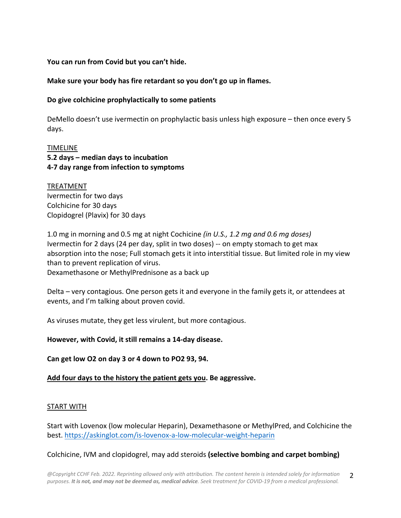**You can run from Covid but you can't hide.**

## **Make sure your body has fire retardant so you don't go up in flames.**

#### **Do give colchicine prophylactically to some patients**

DeMello doesn't use ivermectin on prophylactic basis unless high exposure – then once every 5 days.

## TIMELINE **5.2 days – median days to incubation 4-7 day range from infection to symptoms**

TREATMENT Ivermectin for two days Colchicine for 30 days Clopidogrel (Plavix) for 30 days

1.0 mg in morning and 0.5 mg at night Cochicine *(in U.S., 1.2 mg and 0.6 mg doses)* Ivermectin for 2 days (24 per day, split in two doses) -- on empty stomach to get max absorption into the nose; Full stomach gets it into interstitial tissue. But limited role in my view than to prevent replication of virus. Dexamethasone or MethylPrednisone as a back up

Delta – very contagious. One person gets it and everyone in the family gets it, or attendees at events, and I'm talking about proven covid.

As viruses mutate, they get less virulent, but more contagious.

## **However, with Covid, it still remains a 14-day disease.**

**Can get low O2 on day 3 or 4 down to PO2 93, 94.**

**Add four days to the history the patient gets you. Be aggressive.**

#### START WITH

Start with Lovenox (low molecular Heparin), Dexamethasone or MethylPred, and Colchicine the best. https://askinglot.com/is-lovenox-a-low-molecular-weight-heparin

#### Colchicine, IVM and clopidogrel, may add steroids **(selective bombing and carpet bombing)**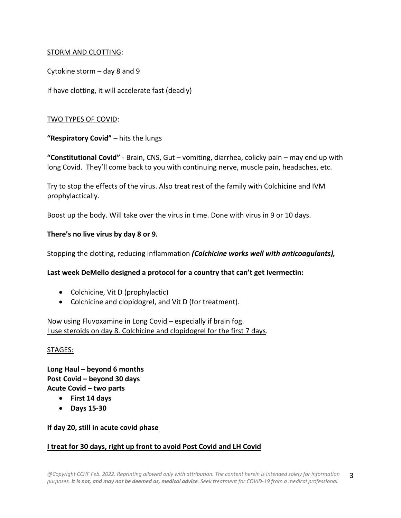## STORM AND CLOTTING:

Cytokine storm – day 8 and 9

If have clotting, it will accelerate fast (deadly)

## TWO TYPES OF COVID:

**"Respiratory Covid"** – hits the lungs

**"Constitutional Covid"** - Brain, CNS, Gut – vomiting, diarrhea, colicky pain – may end up with long Covid. They'll come back to you with continuing nerve, muscle pain, headaches, etc.

Try to stop the effects of the virus. Also treat rest of the family with Colchicine and IVM prophylactically.

Boost up the body. Will take over the virus in time. Done with virus in 9 or 10 days.

## **There's no live virus by day 8 or 9.**

Stopping the clotting, reducing inflammation *(Colchicine works well with anticoagulants),*

**Last week DeMello designed a protocol for a country that can't get Ivermectin:**

- Colchicine, Vit D (prophylactic)
- Colchicine and clopidogrel, and Vit D (for treatment).

Now using Fluvoxamine in Long Covid – especially if brain fog. I use steroids on day 8. Colchicine and clopidogrel for the first 7 days.

## STAGES:

**Long Haul – beyond 6 months Post Covid – beyond 30 days Acute Covid – two parts**

- **First 14 days**
- **Days 15-30**

## **If day 20, still in acute covid phase**

## **I treat for 30 days, right up front to avoid Post Covid and LH Covid**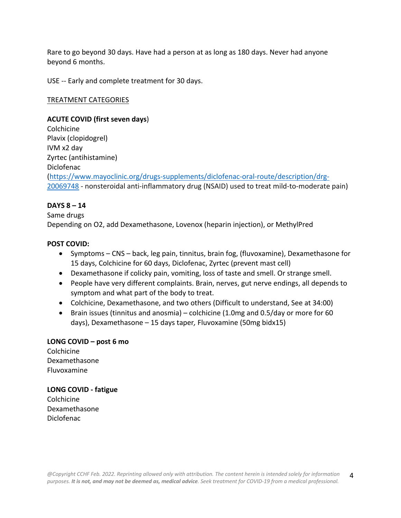Rare to go beyond 30 days. Have had a person at as long as 180 days. Never had anyone beyond 6 months.

USE -- Early and complete treatment for 30 days.

#### TREATMENT CATEGORIES

#### **ACUTE COVID (first seven days**)

Colchicine Plavix (clopidogrel) IVM x2 day Zyrtec (antihistamine) Diclofenac (https://www.mayoclinic.org/drugs-supplements/diclofenac-oral-route/description/drg-20069748 - nonsteroidal anti-inflammatory drug (NSAID) used to treat mild-to-moderate pain)

## **DAYS 8 – 14**

Same drugs Depending on O2, add Dexamethasone, Lovenox (heparin injection), or MethylPred

#### **POST COVID:**

- Symptoms CNS back, leg pain, tinnitus, brain fog, (fluvoxamine), Dexamethasone for 15 days, Colchicine for 60 days, Diclofenac, Zyrtec (prevent mast cell)
- Dexamethasone if colicky pain, vomiting, loss of taste and smell. Or strange smell.
- People have very different complaints. Brain, nerves, gut nerve endings, all depends to symptom and what part of the body to treat.
- Colchicine, Dexamethasone, and two others (Difficult to understand, See at 34:00)
- Brain issues (tinnitus and anosmia) colchicine (1.0mg and 0.5/day or more for 60 days), Dexamethasone – 15 days taper*,* Fluvoxamine (50mg bidx15)

## **LONG COVID – post 6 mo**

Colchicine Dexamethasone Fluvoxamine

# **LONG COVID - fatigue** Colchicine

Dexamethasone Diclofenac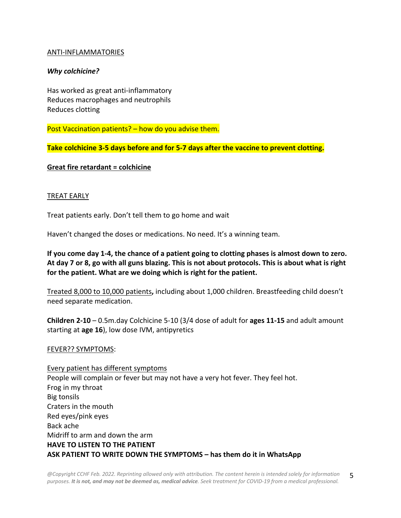#### ANTI-INFLAMMATORIES

## *Why colchicine?*

Has worked as great anti-inflammatory Reduces macrophages and neutrophils Reduces clotting

Post Vaccination patients? – how do you advise them.

**Take colchicine 3-5 days before and for 5-7 days after the vaccine to prevent clotting.**

**Great fire retardant = colchicine**

#### TREAT EARLY

Treat patients early. Don't tell them to go home and wait

Haven't changed the doses or medications. No need. It's a winning team.

**If you come day 1-4, the chance of a patient going to clotting phases is almost down to zero. At day 7 or 8, go with all guns blazing. This is not about protocols. This is about what is right for the patient. What are we doing which is right for the patient.**

Treated 8,000 to 10,000 patients**,** including about 1,000 children. Breastfeeding child doesn't need separate medication.

**Children 2-10** – 0.5m.day Colchicine 5-10 (3/4 dose of adult for **ages 11-15** and adult amount starting at **age 16**), low dose IVM, antipyretics

#### FEVER?? SYMPTOMS:

Every patient has different symptoms People will complain or fever but may not have a very hot fever. They feel hot. Frog in my throat Big tonsils Craters in the mouth Red eyes/pink eyes Back ache Midriff to arm and down the arm **HAVE TO LISTEN TO THE PATIENT ASK PATIENT TO WRITE DOWN THE SYMPTOMS – has them do it in WhatsApp**

*@Copyright CCHF Feb. 2022. Reprinting allowed only with attribution. The content herein is intended solely for information purposes. It is not, and may not be deemed as, medical advice. Seek treatment for COVID-19 from a medical professional.* 5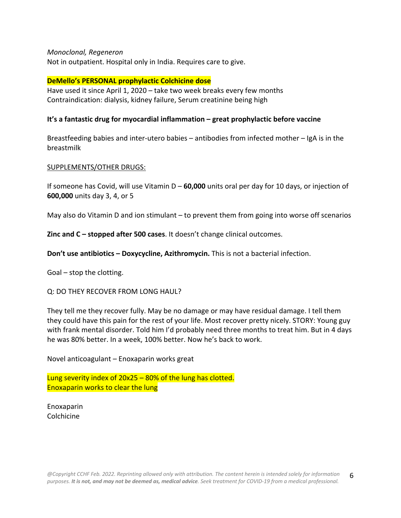#### *Monoclonal, Regeneron*

Not in outpatient. Hospital only in India. Requires care to give.

#### **DeMello's PERSONAL prophylactic Colchicine dose**

Have used it since April 1, 2020 – take two week breaks every few months Contraindication: dialysis, kidney failure, Serum creatinine being high

## **It's a fantastic drug for myocardial inflammation – great prophylactic before vaccine**

Breastfeeding babies and inter-utero babies – antibodies from infected mother – IgA is in the breastmilk

#### SUPPLEMENTS/OTHER DRUGS:

If someone has Covid, will use Vitamin D – **60,000** units oral per day for 10 days, or injection of **600,000** units day 3, 4, or 5

May also do Vitamin D and ion stimulant – to prevent them from going into worse off scenarios

**Zinc and C – stopped after 500 cases**. It doesn't change clinical outcomes.

**Don't use antibiotics – Doxycycline, Azithromycin.** This is not a bacterial infection.

Goal – stop the clotting.

#### Q: DO THEY RECOVER FROM LONG HAUL?

They tell me they recover fully. May be no damage or may have residual damage. I tell them they could have this pain for the rest of your life. Most recover pretty nicely. STORY: Young guy with frank mental disorder. Told him I'd probably need three months to treat him. But in 4 days he was 80% better. In a week, 100% better. Now he's back to work.

Novel anticoagulant – Enoxaparin works great

Lung severity index of 20x25 – 80% of the lung has clotted. Enoxaparin works to clear the lung

Enoxaparin Colchicine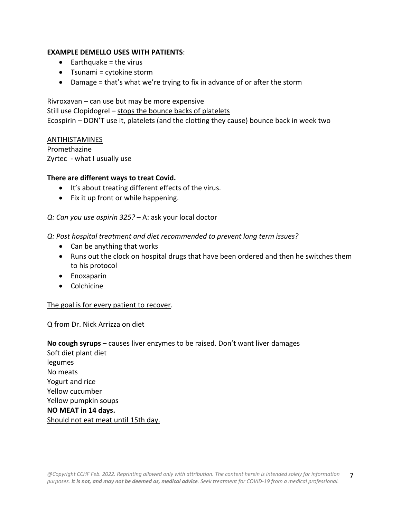## **EXAMPLE DEMELLO USES WITH PATIENTS**:

- $\bullet$  Earthquake = the virus
- Tsunami = cytokine storm
- Damage = that's what we're trying to fix in advance of or after the storm

Rivroxavan – can use but may be more expensive Still use Clopidogrel – stops the bounce backs of platelets Ecospirin – DON'T use it, platelets (and the clotting they cause) bounce back in week two

#### **ANTIHISTAMINES**

Promethazine Zyrtec - what I usually use

#### **There are different ways to treat Covid.**

- It's about treating different effects of the virus.
- Fix it up front or while happening.

## *Q: Can you use aspirin 325?* – A: ask your local doctor

*Q: Post hospital treatment and diet recommended to prevent long term issues?*

- Can be anything that works
- Runs out the clock on hospital drugs that have been ordered and then he switches them to his protocol
- Enoxaparin
- Colchicine

## The goal is for every patient to recover.

Q from Dr. Nick Arrizza on diet

**No cough syrups** – causes liver enzymes to be raised. Don't want liver damages Soft diet plant diet legumes No meats Yogurt and rice Yellow cucumber Yellow pumpkin soups **NO MEAT in 14 days.** Should not eat meat until 15th day.